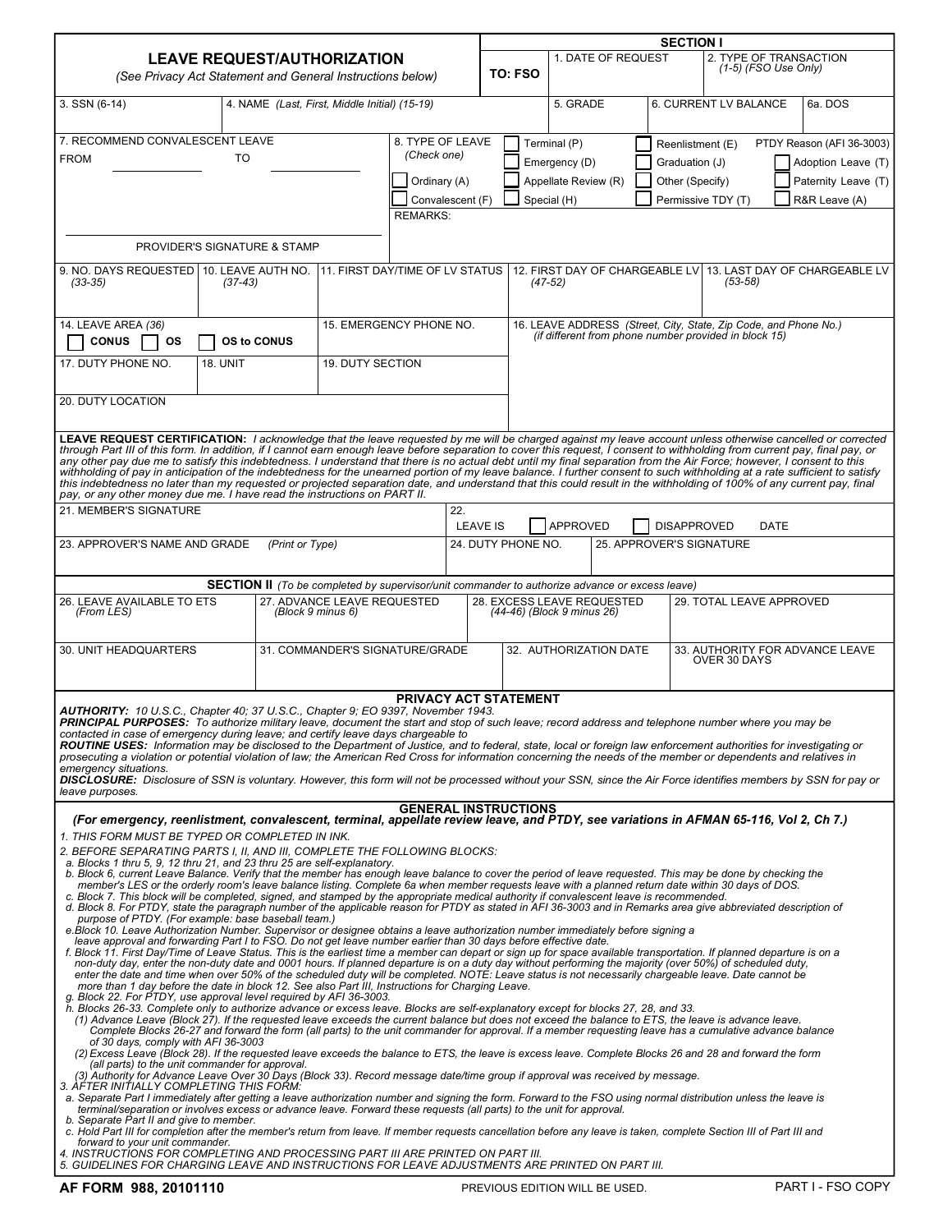|                                                                                                                                                                                                                                                                                                                                                                                                                                                                                                                                                                                                                                                                                                                                                                                                                                                                                                                                                                                                                                                                                                                                                                                                                                                                                                                                                                                                                                                                                                                                                                                                                                                                                                                                                                                                                                                                                                                                                                                                                                                                                                                                                                                                                                                                                                                                                                                                                                                                                                                                                                                                                                                                                                                                                                                                                                                                                                                                                                                                                                                                                                                                                                                                                                                                                                                                                                                                                                                                                                                   |                                                            |                             |                                                                                                       |                                       | <b>SECTION I</b>                                                     |                    |                                                                                                                           |                          |                                                  |                                                                                         |  |  |  |
|-------------------------------------------------------------------------------------------------------------------------------------------------------------------------------------------------------------------------------------------------------------------------------------------------------------------------------------------------------------------------------------------------------------------------------------------------------------------------------------------------------------------------------------------------------------------------------------------------------------------------------------------------------------------------------------------------------------------------------------------------------------------------------------------------------------------------------------------------------------------------------------------------------------------------------------------------------------------------------------------------------------------------------------------------------------------------------------------------------------------------------------------------------------------------------------------------------------------------------------------------------------------------------------------------------------------------------------------------------------------------------------------------------------------------------------------------------------------------------------------------------------------------------------------------------------------------------------------------------------------------------------------------------------------------------------------------------------------------------------------------------------------------------------------------------------------------------------------------------------------------------------------------------------------------------------------------------------------------------------------------------------------------------------------------------------------------------------------------------------------------------------------------------------------------------------------------------------------------------------------------------------------------------------------------------------------------------------------------------------------------------------------------------------------------------------------------------------------------------------------------------------------------------------------------------------------------------------------------------------------------------------------------------------------------------------------------------------------------------------------------------------------------------------------------------------------------------------------------------------------------------------------------------------------------------------------------------------------------------------------------------------------------------------------------------------------------------------------------------------------------------------------------------------------------------------------------------------------------------------------------------------------------------------------------------------------------------------------------------------------------------------------------------------------------------------------------------------------------------------------------------------------|------------------------------------------------------------|-----------------------------|-------------------------------------------------------------------------------------------------------|---------------------------------------|----------------------------------------------------------------------|--------------------|---------------------------------------------------------------------------------------------------------------------------|--------------------------|--------------------------------------------------|-----------------------------------------------------------------------------------------|--|--|--|
| <b>LEAVE REQUEST/AUTHORIZATION</b><br>(See Privacy Act Statement and General Instructions below)                                                                                                                                                                                                                                                                                                                                                                                                                                                                                                                                                                                                                                                                                                                                                                                                                                                                                                                                                                                                                                                                                                                                                                                                                                                                                                                                                                                                                                                                                                                                                                                                                                                                                                                                                                                                                                                                                                                                                                                                                                                                                                                                                                                                                                                                                                                                                                                                                                                                                                                                                                                                                                                                                                                                                                                                                                                                                                                                                                                                                                                                                                                                                                                                                                                                                                                                                                                                                  |                                                            |                             |                                                                                                       |                                       | TO: FSO                                                              | 1. DATE OF REQUEST |                                                                                                                           |                          | 2. TYPE OF TRANSACTION<br>$(1-5)$ (FSO Use Only) |                                                                                         |  |  |  |
| 3. SSN (6-14)                                                                                                                                                                                                                                                                                                                                                                                                                                                                                                                                                                                                                                                                                                                                                                                                                                                                                                                                                                                                                                                                                                                                                                                                                                                                                                                                                                                                                                                                                                                                                                                                                                                                                                                                                                                                                                                                                                                                                                                                                                                                                                                                                                                                                                                                                                                                                                                                                                                                                                                                                                                                                                                                                                                                                                                                                                                                                                                                                                                                                                                                                                                                                                                                                                                                                                                                                                                                                                                                                                     | 4. NAME (Last, First, Middle Initial) (15-19)              |                             |                                                                                                       |                                       | 5. GRADE                                                             |                    |                                                                                                                           | 6. CURRENT LV BALANCE    |                                                  | 6a. DOS                                                                                 |  |  |  |
| 7. RECOMMEND CONVALESCENT LEAVE<br>8. TYPE OF LEAVE<br>(Check one)<br>TO<br><b>FROM</b><br>Ordinary (A)<br>Convalescent (F)<br><b>REMARKS:</b>                                                                                                                                                                                                                                                                                                                                                                                                                                                                                                                                                                                                                                                                                                                                                                                                                                                                                                                                                                                                                                                                                                                                                                                                                                                                                                                                                                                                                                                                                                                                                                                                                                                                                                                                                                                                                                                                                                                                                                                                                                                                                                                                                                                                                                                                                                                                                                                                                                                                                                                                                                                                                                                                                                                                                                                                                                                                                                                                                                                                                                                                                                                                                                                                                                                                                                                                                                    |                                                            |                             |                                                                                                       |                                       | Terminal (P)<br>Emergency (D)<br>Appellate Review (R)<br>Special (H) |                    | Reenlistment (E)<br>Graduation (J)<br>Other (Specify)                                                                     | Permissive TDY (T)       |                                                  | PTDY Reason (AFI 36-3003)<br>Adoption Leave (T)<br>Paternity Leave (T)<br>R&R Leave (A) |  |  |  |
| PROVIDER'S SIGNATURE & STAMP                                                                                                                                                                                                                                                                                                                                                                                                                                                                                                                                                                                                                                                                                                                                                                                                                                                                                                                                                                                                                                                                                                                                                                                                                                                                                                                                                                                                                                                                                                                                                                                                                                                                                                                                                                                                                                                                                                                                                                                                                                                                                                                                                                                                                                                                                                                                                                                                                                                                                                                                                                                                                                                                                                                                                                                                                                                                                                                                                                                                                                                                                                                                                                                                                                                                                                                                                                                                                                                                                      |                                                            |                             |                                                                                                       |                                       |                                                                      |                    |                                                                                                                           |                          |                                                  |                                                                                         |  |  |  |
| 9. NO. DAYS REQUESTED   10. LEAVE AUTH NO.<br>$(33-35)$<br>$(37-43)$                                                                                                                                                                                                                                                                                                                                                                                                                                                                                                                                                                                                                                                                                                                                                                                                                                                                                                                                                                                                                                                                                                                                                                                                                                                                                                                                                                                                                                                                                                                                                                                                                                                                                                                                                                                                                                                                                                                                                                                                                                                                                                                                                                                                                                                                                                                                                                                                                                                                                                                                                                                                                                                                                                                                                                                                                                                                                                                                                                                                                                                                                                                                                                                                                                                                                                                                                                                                                                              |                                                            |                             | 11. FIRST DAY/TIME OF LV STATUS                                                                       |                                       | $(47-52)$                                                            |                    |                                                                                                                           | $(53 - 58)$              |                                                  | 12. FIRST DAY OF CHARGEABLE LV 13. LAST DAY OF CHARGEABLE LV                            |  |  |  |
| 14. LEAVE AREA (36)<br><b>CONUS</b><br><b>OS</b><br>17. DUTY PHONE NO.<br><b>18. UNIT</b>                                                                                                                                                                                                                                                                                                                                                                                                                                                                                                                                                                                                                                                                                                                                                                                                                                                                                                                                                                                                                                                                                                                                                                                                                                                                                                                                                                                                                                                                                                                                                                                                                                                                                                                                                                                                                                                                                                                                                                                                                                                                                                                                                                                                                                                                                                                                                                                                                                                                                                                                                                                                                                                                                                                                                                                                                                                                                                                                                                                                                                                                                                                                                                                                                                                                                                                                                                                                                         | 15. EMERGENCY PHONE NO.<br>OS to CONUS<br>19. DUTY SECTION |                             |                                                                                                       |                                       |                                                                      |                    | 16. LEAVE ADDRESS (Street, City, State, Zip Code, and Phone No.)<br>(if different from phone number provided in block 15) |                          |                                                  |                                                                                         |  |  |  |
| 20. DUTY LOCATION                                                                                                                                                                                                                                                                                                                                                                                                                                                                                                                                                                                                                                                                                                                                                                                                                                                                                                                                                                                                                                                                                                                                                                                                                                                                                                                                                                                                                                                                                                                                                                                                                                                                                                                                                                                                                                                                                                                                                                                                                                                                                                                                                                                                                                                                                                                                                                                                                                                                                                                                                                                                                                                                                                                                                                                                                                                                                                                                                                                                                                                                                                                                                                                                                                                                                                                                                                                                                                                                                                 |                                                            |                             |                                                                                                       |                                       |                                                                      |                    |                                                                                                                           |                          |                                                  |                                                                                         |  |  |  |
| LEAVE REQUEST CERTIFICATION: I acknowledge that the leave requested by me will be charged against my leave account unless otherwise cancelled or corrected<br>through Part III of this form. In addition, if I cannot earn enough leave before separation to cover this request, I consent to withholding from current pay, final pay, or<br>  any other pay due me to satisfy this indebtednes<br>withholding of pay in anticipation of the indebtedness for the unearned portion of my leave balance. I further consent to such withholding at a rate sufficient to satisfy<br>this indebtedness no later than my requested or projected separation date, and understand that this could result in the withholding of 100% of any current pay, final<br>pay, or any other money due me. I have read the instructions on PART II.<br>21. MEMBER'S SIGNATURE<br>23. APPROVER'S NAME AND GRADE                                                                                                                                                                                                                                                                                                                                                                                                                                                                                                                                                                                                                                                                                                                                                                                                                                                                                                                                                                                                                                                                                                                                                                                                                                                                                                                                                                                                                                                                                                                                                                                                                                                                                                                                                                                                                                                                                                                                                                                                                                                                                                                                                                                                                                                                                                                                                                                                                                                                                                                                                                                                                     | (Print or Type)                                            |                             | 22.                                                                                                   | <b>LEAVE IS</b><br>24. DUTY PHONE NO. | <b>APPROVED</b>                                                      |                    | <b>DISAPPROVED</b>                                                                                                        | 25. APPROVER'S SIGNATURE | <b>DATE</b>                                      |                                                                                         |  |  |  |
|                                                                                                                                                                                                                                                                                                                                                                                                                                                                                                                                                                                                                                                                                                                                                                                                                                                                                                                                                                                                                                                                                                                                                                                                                                                                                                                                                                                                                                                                                                                                                                                                                                                                                                                                                                                                                                                                                                                                                                                                                                                                                                                                                                                                                                                                                                                                                                                                                                                                                                                                                                                                                                                                                                                                                                                                                                                                                                                                                                                                                                                                                                                                                                                                                                                                                                                                                                                                                                                                                                                   |                                                            |                             |                                                                                                       |                                       |                                                                      |                    |                                                                                                                           |                          |                                                  |                                                                                         |  |  |  |
| 26. LEAVE AVAILABLE TO ETS<br>(From LES)                                                                                                                                                                                                                                                                                                                                                                                                                                                                                                                                                                                                                                                                                                                                                                                                                                                                                                                                                                                                                                                                                                                                                                                                                                                                                                                                                                                                                                                                                                                                                                                                                                                                                                                                                                                                                                                                                                                                                                                                                                                                                                                                                                                                                                                                                                                                                                                                                                                                                                                                                                                                                                                                                                                                                                                                                                                                                                                                                                                                                                                                                                                                                                                                                                                                                                                                                                                                                                                                          | (Block 9 minus 6)                                          | 27. ADVANCE LEAVE REQUESTED | <b>SECTION II</b> (To be completed by supervisor/unit commander to authorize advance or excess leave) | 28. EXCESS LEAVE REQUESTED            | (44-46) (Block 9 minus 26)                                           |                    |                                                                                                                           | 29. TOTAL LEAVE APPROVED |                                                  |                                                                                         |  |  |  |
| 30. UNIT HEADQUARTERS                                                                                                                                                                                                                                                                                                                                                                                                                                                                                                                                                                                                                                                                                                                                                                                                                                                                                                                                                                                                                                                                                                                                                                                                                                                                                                                                                                                                                                                                                                                                                                                                                                                                                                                                                                                                                                                                                                                                                                                                                                                                                                                                                                                                                                                                                                                                                                                                                                                                                                                                                                                                                                                                                                                                                                                                                                                                                                                                                                                                                                                                                                                                                                                                                                                                                                                                                                                                                                                                                             |                                                            |                             | 31. COMMANDER'S SIGNATURE/GRADE                                                                       |                                       | 32. AUTHORIZATION DATE                                               |                    |                                                                                                                           | OVER 30 DAYS             |                                                  | 33. AUTHORITY FOR ADVANCE LEAVE                                                         |  |  |  |
| AUTHORITY: 10 U.S.C., Chapter 40; 37 U.S.C., Chapter 9; EO 9397, November 1943.<br>PRINCIPAL PURPOSES: To authorize military leave, document the start and stop of such leave; record address and telephone number where you may be<br>contacted in case of emergency during leave; and certify leave days chargeable to<br>ROUTINE USES: Information may be disclosed to the Department of Justice, and to federal, state, local or foreign law enforcement authorities for investigating or<br>prosecuting a violation or potential violation of law; the American Red Cross for information concerning the needs of the member or dependents and relatives in<br>emergency situations.<br>DISCLOSURE: Disclosure of SSN is voluntary. However, this form will not be processed without your SSN, since the Air Force identifies members by SSN for pay or<br>leave purposes.                                                                                                                                                                                                                                                                                                                                                                                                                                                                                                                                                                                                                                                                                                                                                                                                                                                                                                                                                                                                                                                                                                                                                                                                                                                                                                                                                                                                                                                                                                                                                                                                                                                                                                                                                                                                                                                                                                                                                                                                                                                                                                                                                                                                                                                                                                                                                                                                                                                                                                                                                                                                                                   |                                                            |                             | PRIVACY ACT STATEMENT<br><b>GENERAL INSTRUCTIONS</b>                                                  |                                       |                                                                      |                    |                                                                                                                           |                          |                                                  |                                                                                         |  |  |  |
| (For emergency, reenlistment, convalescent, terminal, appellate review leave, and PTDY, see variations in AFMAN 65-116, Vol 2, Ch 7.)<br>1. THIS FORM MUST BE TYPED OR COMPLETED IN INK.<br>2. BEFORE SEPARATING PARTS I, II, AND III, COMPLETE THE FOLLOWING BLOCKS:<br>a. Blocks 1 thru 5, 9, 12 thru 21, and 23 thru 25 are self-explanatory.<br>b. Block 6, current Leave Balance. Verify that the member has enough leave balance to cover the period of leave requested. This may be done by checking the<br>member's LES or the orderly room's leave balance listing. Complete 6a when member requests leave with a planned return date within 30 days of DOS.<br>c. Block 7. This block will be completed, signed, and stamped by the appropriate medical authority if convalescent leave is recommended.<br>d. Block 8. For PTDY, state the paragraph number of the applicable reason for PTDY as stated in AFI 36-3003 and in Remarks area give abbreviated description of<br>purpose of PTDY. (For example: base baseball team.)<br>e.Block 10. Leave Authorization Number. Supervisor or designee obtains a leave authorization number immediately before signing a<br>leave approval and forwarding Part I to FSO. Do not get leave number earlier than 30 days before effective date.<br>f. Block 11. First Day/Time of Leave Status. This is the earliest time a member can depart or sign up for space available transportation. If planned departure is on a<br>non-duty day, enter the non-duty date and 0001 hours. If planned departure is on a duty day without performing the majority (over 50%) of scheduled duty,<br>enter the date and time when over 50% of the scheduled duty will be completed. NOTE: Leave status is not necessarily chargeable leave. Date cannot be<br>more than 1 day before the date in block 12. See also Part III, Instructions for Charging Leave.<br>g. Block 22. For PTDY, use approval level required by AFI 36-3003.<br>h. Blocks 26-33. Complete only to authorize advance or excess leave. Blocks are self-explanatory except for blocks 27, 28, and 33.<br>(1) Advance Leave (Block 27). If the requested leave exceeds the current balance but does not exceed the balance to ETS, the leave is advance leave.<br>Complete Blocks 26-27 and forward the form (all parts) to the unit commander for approval. If a member requesting leave has a cumulative advance balance<br>of 30 days, comply with AFI 36-3003<br>(2) Excess Leave (Block 28). If the requested leave exceeds the balance to ETS, the leave is excess leave. Complete Blocks 26 and 28 and forward the form<br>(all parts) to the unit commander for approval.<br>(3) Authority for Advance Leave Over 30 Days (Block 33). Record message date/time group if approval was received by message.<br>3. AFTER INITIALLY COMPLETING THIS FORM:<br>a. Separate Part I immediately after getting a leave authorization number and signing the form. Forward to the FSO using normal distribution unless the leave is<br>terminal/separation or involves excess or advance leave. Forward these requests (all parts) to the unit for approval.<br>b. Separate Part II and give to member.<br>c. Hold Part III for completion after the member's return from leave. If member requests cancellation before any leave is taken, complete Section III of Part III and<br>forward to your unit commander.<br>4. INSTRUCTIONS FOR COMPLETING AND PROCESSING PART III ARE PRINTED ON PART III. |                                                            |                             | 5. GUIDELINES FOR CHARGING LEAVE AND INSTRUCTIONS FOR LEAVE ADJUSTMENTS ARE PRINTED ON PART III.      |                                       |                                                                      |                    |                                                                                                                           |                          |                                                  |                                                                                         |  |  |  |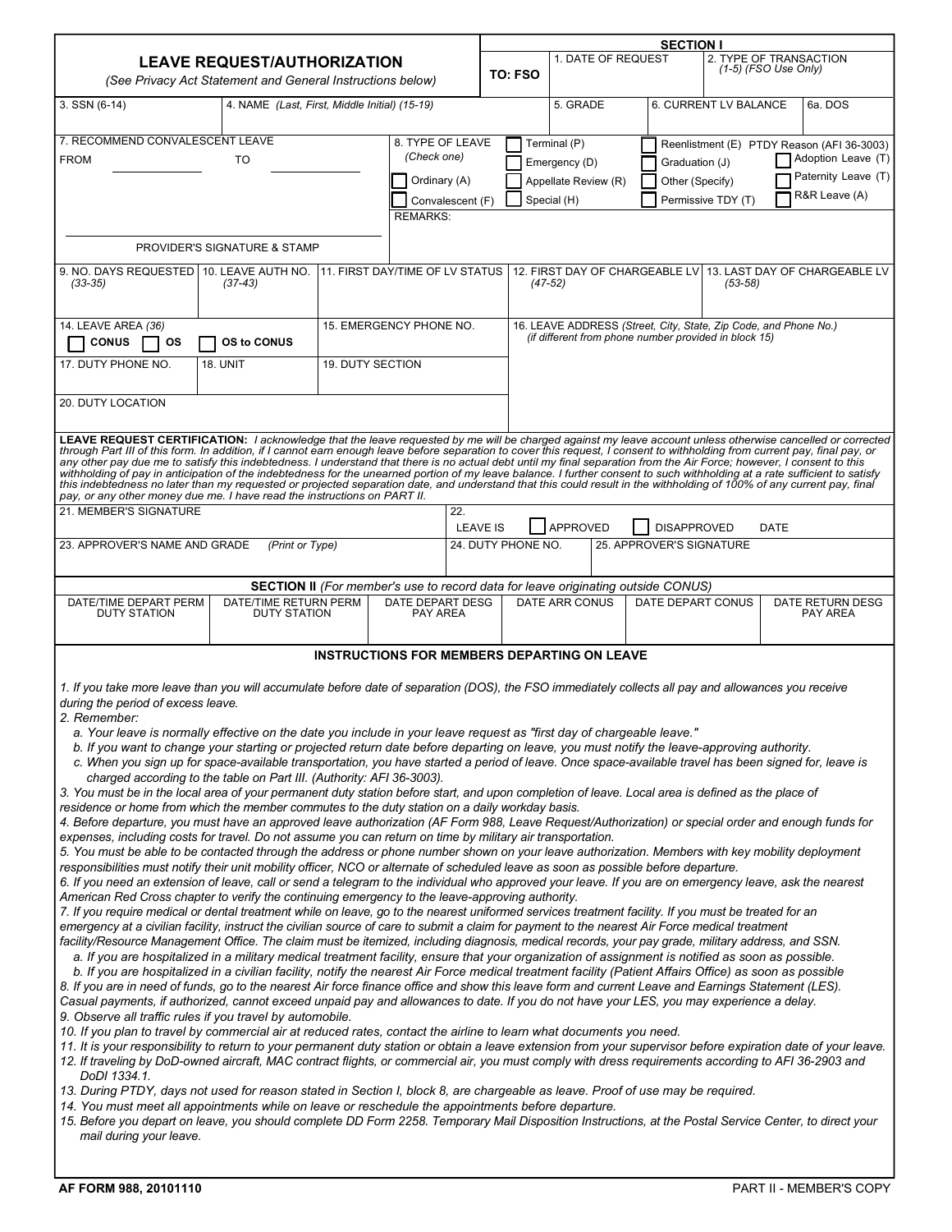|                                                                                                                                                                                                                                                                                                                                                                                                                                                                                                                                                                                                                                                                                                                                                                                                                                                                                                                                                                                                                                                                                                                                                                                                                                                                                                                                                                                                                                                                                                                                                                                                                                                                                                                                                                                                                                                                                                                                                                                                                                                                                                                                                                                                                                                                                                                                                                                                                                                                                                                                                                                                                                                                                                                                                                                                                                                                                                                                                                                                                                                                                                                                                                                                                                                                                                                                                                                                                                                                                                                                                                                                                                                                                                                                                                                                                            |                                               |                         |                                                                                                             |                    |                                                                                                                           |  | <b>SECTION I</b>                                        |                                                  |                                                                                                                 |  |  |  |
|----------------------------------------------------------------------------------------------------------------------------------------------------------------------------------------------------------------------------------------------------------------------------------------------------------------------------------------------------------------------------------------------------------------------------------------------------------------------------------------------------------------------------------------------------------------------------------------------------------------------------------------------------------------------------------------------------------------------------------------------------------------------------------------------------------------------------------------------------------------------------------------------------------------------------------------------------------------------------------------------------------------------------------------------------------------------------------------------------------------------------------------------------------------------------------------------------------------------------------------------------------------------------------------------------------------------------------------------------------------------------------------------------------------------------------------------------------------------------------------------------------------------------------------------------------------------------------------------------------------------------------------------------------------------------------------------------------------------------------------------------------------------------------------------------------------------------------------------------------------------------------------------------------------------------------------------------------------------------------------------------------------------------------------------------------------------------------------------------------------------------------------------------------------------------------------------------------------------------------------------------------------------------------------------------------------------------------------------------------------------------------------------------------------------------------------------------------------------------------------------------------------------------------------------------------------------------------------------------------------------------------------------------------------------------------------------------------------------------------------------------------------------------------------------------------------------------------------------------------------------------------------------------------------------------------------------------------------------------------------------------------------------------------------------------------------------------------------------------------------------------------------------------------------------------------------------------------------------------------------------------------------------------------------------------------------------------------------------------------------------------------------------------------------------------------------------------------------------------------------------------------------------------------------------------------------------------------------------------------------------------------------------------------------------------------------------------------------------------------------------------------------------------------------------------------------------------|-----------------------------------------------|-------------------------|-------------------------------------------------------------------------------------------------------------|--------------------|---------------------------------------------------------------------------------------------------------------------------|--|---------------------------------------------------------|--------------------------------------------------|-----------------------------------------------------------------------------------------------------------------|--|--|--|
| <b>LEAVE REQUEST/AUTHORIZATION</b><br>(See Privacy Act Statement and General Instructions below)                                                                                                                                                                                                                                                                                                                                                                                                                                                                                                                                                                                                                                                                                                                                                                                                                                                                                                                                                                                                                                                                                                                                                                                                                                                                                                                                                                                                                                                                                                                                                                                                                                                                                                                                                                                                                                                                                                                                                                                                                                                                                                                                                                                                                                                                                                                                                                                                                                                                                                                                                                                                                                                                                                                                                                                                                                                                                                                                                                                                                                                                                                                                                                                                                                                                                                                                                                                                                                                                                                                                                                                                                                                                                                                           |                                               |                         |                                                                                                             |                    | 1. DATE OF REQUEST                                                                                                        |  |                                                         | 2. TYPE OF TRANSACTION<br>$(1-5)$ (FSO Use Only) |                                                                                                                 |  |  |  |
| $3.$ SSN $(6-14)$                                                                                                                                                                                                                                                                                                                                                                                                                                                                                                                                                                                                                                                                                                                                                                                                                                                                                                                                                                                                                                                                                                                                                                                                                                                                                                                                                                                                                                                                                                                                                                                                                                                                                                                                                                                                                                                                                                                                                                                                                                                                                                                                                                                                                                                                                                                                                                                                                                                                                                                                                                                                                                                                                                                                                                                                                                                                                                                                                                                                                                                                                                                                                                                                                                                                                                                                                                                                                                                                                                                                                                                                                                                                                                                                                                                                          | 4. NAME (Last, First, Middle Initial) (15-19) |                         |                                                                                                             |                    |                                                                                                                           |  | 6. CURRENT LV BALANCE                                   |                                                  | 6a. DOS                                                                                                         |  |  |  |
| 7. RECOMMEND CONVALESCENT LEAVE<br>8. TYPE OF LEAVE<br>(Check one)<br><b>FROM</b><br>TO<br>Ordinary (A)<br>Convalescent (F)<br><b>REMARKS:</b>                                                                                                                                                                                                                                                                                                                                                                                                                                                                                                                                                                                                                                                                                                                                                                                                                                                                                                                                                                                                                                                                                                                                                                                                                                                                                                                                                                                                                                                                                                                                                                                                                                                                                                                                                                                                                                                                                                                                                                                                                                                                                                                                                                                                                                                                                                                                                                                                                                                                                                                                                                                                                                                                                                                                                                                                                                                                                                                                                                                                                                                                                                                                                                                                                                                                                                                                                                                                                                                                                                                                                                                                                                                                             |                                               |                         |                                                                                                             |                    | Terminal (P)<br>Emergency (D)<br>Appellate Review (R)<br>Special (H)                                                      |  | Graduation (J)<br>Other (Specify)<br>Permissive TDY (T) |                                                  | Reenlistment (E) PTDY Reason (AFI 36-3003)<br><b>Adoption Leave (T)</b><br>Paternity Leave (T)<br>R&R Leave (A) |  |  |  |
| 9. NO. DAYS REQUESTED   10. LEAVE AUTH NO.                                                                                                                                                                                                                                                                                                                                                                                                                                                                                                                                                                                                                                                                                                                                                                                                                                                                                                                                                                                                                                                                                                                                                                                                                                                                                                                                                                                                                                                                                                                                                                                                                                                                                                                                                                                                                                                                                                                                                                                                                                                                                                                                                                                                                                                                                                                                                                                                                                                                                                                                                                                                                                                                                                                                                                                                                                                                                                                                                                                                                                                                                                                                                                                                                                                                                                                                                                                                                                                                                                                                                                                                                                                                                                                                                                                 | PROVIDER'S SIGNATURE & STAMP                  |                         | 11. FIRST DAY/TIME OF LV STATUS                                                                             |                    |                                                                                                                           |  |                                                         |                                                  | 12. FIRST DAY OF CHARGEABLE LV 13. LAST DAY OF CHARGEABLE LV                                                    |  |  |  |
| (33-35)                                                                                                                                                                                                                                                                                                                                                                                                                                                                                                                                                                                                                                                                                                                                                                                                                                                                                                                                                                                                                                                                                                                                                                                                                                                                                                                                                                                                                                                                                                                                                                                                                                                                                                                                                                                                                                                                                                                                                                                                                                                                                                                                                                                                                                                                                                                                                                                                                                                                                                                                                                                                                                                                                                                                                                                                                                                                                                                                                                                                                                                                                                                                                                                                                                                                                                                                                                                                                                                                                                                                                                                                                                                                                                                                                                                                                    | $(37-43)$                                     |                         |                                                                                                             | $(47-52)$          |                                                                                                                           |  | $(53 - 58)$                                             |                                                  |                                                                                                                 |  |  |  |
| 14. LEAVE AREA (36)<br><b>CONUS</b><br><b>OS</b>                                                                                                                                                                                                                                                                                                                                                                                                                                                                                                                                                                                                                                                                                                                                                                                                                                                                                                                                                                                                                                                                                                                                                                                                                                                                                                                                                                                                                                                                                                                                                                                                                                                                                                                                                                                                                                                                                                                                                                                                                                                                                                                                                                                                                                                                                                                                                                                                                                                                                                                                                                                                                                                                                                                                                                                                                                                                                                                                                                                                                                                                                                                                                                                                                                                                                                                                                                                                                                                                                                                                                                                                                                                                                                                                                                           | 15. EMERGENCY PHONE NO.<br>OS to CONUS        |                         |                                                                                                             |                    | 16. LEAVE ADDRESS (Street, City, State, Zip Code, and Phone No.)<br>(if different from phone number provided in block 15) |  |                                                         |                                                  |                                                                                                                 |  |  |  |
| 17. DUTY PHONE NO.                                                                                                                                                                                                                                                                                                                                                                                                                                                                                                                                                                                                                                                                                                                                                                                                                                                                                                                                                                                                                                                                                                                                                                                                                                                                                                                                                                                                                                                                                                                                                                                                                                                                                                                                                                                                                                                                                                                                                                                                                                                                                                                                                                                                                                                                                                                                                                                                                                                                                                                                                                                                                                                                                                                                                                                                                                                                                                                                                                                                                                                                                                                                                                                                                                                                                                                                                                                                                                                                                                                                                                                                                                                                                                                                                                                                         | <b>18. UNIT</b>                               | <b>19. DUTY SECTION</b> |                                                                                                             |                    |                                                                                                                           |  |                                                         |                                                  |                                                                                                                 |  |  |  |
| 20. DUTY LOCATION                                                                                                                                                                                                                                                                                                                                                                                                                                                                                                                                                                                                                                                                                                                                                                                                                                                                                                                                                                                                                                                                                                                                                                                                                                                                                                                                                                                                                                                                                                                                                                                                                                                                                                                                                                                                                                                                                                                                                                                                                                                                                                                                                                                                                                                                                                                                                                                                                                                                                                                                                                                                                                                                                                                                                                                                                                                                                                                                                                                                                                                                                                                                                                                                                                                                                                                                                                                                                                                                                                                                                                                                                                                                                                                                                                                                          |                                               |                         |                                                                                                             |                    |                                                                                                                           |  |                                                         |                                                  |                                                                                                                 |  |  |  |
| LEAVE REQUEST CERTIFICATION: I acknowledge that the leave requested by me will be charged against my leave account unless otherwise cancelled or corrected<br>through Part III of this form. In addition, if I cannot earn enough leave before separation to cover this request, I consent to withholding from current pay, final pay, or<br>any other pay due me to satisfy this indebtedness. I understand that there is no actual debt until my final separation from the Air Force; however, I consent to this<br>withholding of pay in anticipation of the indebtedness for the unearned portion of my leave balance. I further consent to such withholding at a rate sufficient to satisfy<br>this indebtedness no later than my requested or projected separation date, and understand that this could result in the withholding of 100% of any current pay, final<br>pay, or any other money due me. I have read the instructions on PART II.<br>21. MEMBER'S SIGNATURE                                                                                                                                                                                                                                                                                                                                                                                                                                                                                                                                                                                                                                                                                                                                                                                                                                                                                                                                                                                                                                                                                                                                                                                                                                                                                                                                                                                                                                                                                                                                                                                                                                                                                                                                                                                                                                                                                                                                                                                                                                                                                                                                                                                                                                                                                                                                                                                                                                                                                                                                                                                                                                                                                                                                                                                                                                            |                                               |                         | 22.                                                                                                         |                    |                                                                                                                           |  |                                                         |                                                  |                                                                                                                 |  |  |  |
| 23. APPROVER'S NAME AND GRADE                                                                                                                                                                                                                                                                                                                                                                                                                                                                                                                                                                                                                                                                                                                                                                                                                                                                                                                                                                                                                                                                                                                                                                                                                                                                                                                                                                                                                                                                                                                                                                                                                                                                                                                                                                                                                                                                                                                                                                                                                                                                                                                                                                                                                                                                                                                                                                                                                                                                                                                                                                                                                                                                                                                                                                                                                                                                                                                                                                                                                                                                                                                                                                                                                                                                                                                                                                                                                                                                                                                                                                                                                                                                                                                                                                                              | (Print or Type)                               |                         | <b>LEAVE IS</b>                                                                                             | 24. DUTY PHONE NO. | APPROVED                                                                                                                  |  | <b>DISAPPROVED</b><br>25. APPROVER'S SIGNATURE          | DATE                                             |                                                                                                                 |  |  |  |
|                                                                                                                                                                                                                                                                                                                                                                                                                                                                                                                                                                                                                                                                                                                                                                                                                                                                                                                                                                                                                                                                                                                                                                                                                                                                                                                                                                                                                                                                                                                                                                                                                                                                                                                                                                                                                                                                                                                                                                                                                                                                                                                                                                                                                                                                                                                                                                                                                                                                                                                                                                                                                                                                                                                                                                                                                                                                                                                                                                                                                                                                                                                                                                                                                                                                                                                                                                                                                                                                                                                                                                                                                                                                                                                                                                                                                            |                                               |                         |                                                                                                             |                    |                                                                                                                           |  |                                                         |                                                  |                                                                                                                 |  |  |  |
| DATE/TIME DEPART PERM                                                                                                                                                                                                                                                                                                                                                                                                                                                                                                                                                                                                                                                                                                                                                                                                                                                                                                                                                                                                                                                                                                                                                                                                                                                                                                                                                                                                                                                                                                                                                                                                                                                                                                                                                                                                                                                                                                                                                                                                                                                                                                                                                                                                                                                                                                                                                                                                                                                                                                                                                                                                                                                                                                                                                                                                                                                                                                                                                                                                                                                                                                                                                                                                                                                                                                                                                                                                                                                                                                                                                                                                                                                                                                                                                                                                      | DATE/TIME RETURN PERM                         |                         | <b>SECTION II</b> (For member's use to record data for leave originating outside CONUS)<br>DATE DEPART DESG |                    | DATE ARR CONUS                                                                                                            |  | DATE DEPART CONUS                                       |                                                  | DATE RETURN DESG                                                                                                |  |  |  |
| <b>DUTY STATION</b>                                                                                                                                                                                                                                                                                                                                                                                                                                                                                                                                                                                                                                                                                                                                                                                                                                                                                                                                                                                                                                                                                                                                                                                                                                                                                                                                                                                                                                                                                                                                                                                                                                                                                                                                                                                                                                                                                                                                                                                                                                                                                                                                                                                                                                                                                                                                                                                                                                                                                                                                                                                                                                                                                                                                                                                                                                                                                                                                                                                                                                                                                                                                                                                                                                                                                                                                                                                                                                                                                                                                                                                                                                                                                                                                                                                                        | <b>DUTY STATION</b>                           |                         | PAY AREA                                                                                                    |                    |                                                                                                                           |  |                                                         |                                                  | PAY AREA                                                                                                        |  |  |  |
|                                                                                                                                                                                                                                                                                                                                                                                                                                                                                                                                                                                                                                                                                                                                                                                                                                                                                                                                                                                                                                                                                                                                                                                                                                                                                                                                                                                                                                                                                                                                                                                                                                                                                                                                                                                                                                                                                                                                                                                                                                                                                                                                                                                                                                                                                                                                                                                                                                                                                                                                                                                                                                                                                                                                                                                                                                                                                                                                                                                                                                                                                                                                                                                                                                                                                                                                                                                                                                                                                                                                                                                                                                                                                                                                                                                                                            |                                               |                         | <b>INSTRUCTIONS FOR MEMBERS DEPARTING ON LEAVE</b>                                                          |                    |                                                                                                                           |  |                                                         |                                                  |                                                                                                                 |  |  |  |
| 1. If you take more leave than you will accumulate before date of separation (DOS), the FSO immediately collects all pay and allowances you receive<br>during the period of excess leave.<br>2. Remember:<br>a. Your leave is normally effective on the date you include in your leave request as "first day of chargeable leave."<br>b. If you want to change your starting or projected return date before departing on leave, you must notify the leave-approving authority.<br>c. When you sign up for space-available transportation, you have started a period of leave. Once space-available travel has been signed for, leave is<br>charged according to the table on Part III. (Authority: AFI 36-3003).<br>3. You must be in the local area of your permanent duty station before start, and upon completion of leave. Local area is defined as the place of<br>residence or home from which the member commutes to the duty station on a daily workday basis.<br>4. Before departure, you must have an approved leave authorization (AF Form 988, Leave Request/Authorization) or special order and enough funds for<br>expenses, including costs for travel. Do not assume you can return on time by military air transportation.<br>5. You must be able to be contacted through the address or phone number shown on your leave authorization. Members with key mobility deployment<br>responsibilities must notify their unit mobility officer, NCO or alternate of scheduled leave as soon as possible before departure.<br>6. If you need an extension of leave, call or send a telegram to the individual who approved your leave. If you are on emergency leave, ask the nearest<br>American Red Cross chapter to verify the continuing emergency to the leave-approving authority.<br>7. If you require medical or dental treatment while on leave, go to the nearest uniformed services treatment facility. If you must be treated for an<br>emergency at a civilian facility, instruct the civilian source of care to submit a claim for payment to the nearest Air Force medical treatment<br>facility/Resource Management Office. The claim must be itemized, including diagnosis, medical records, your pay grade, military address, and SSN.<br>a. If you are hospitalized in a military medical treatment facility, ensure that your organization of assignment is notified as soon as possible.<br>b. If you are hospitalized in a civilian facility, notify the nearest Air Force medical treatment facility (Patient Affairs Office) as soon as possible<br>8. If you are in need of funds, go to the nearest Air force finance office and show this leave form and current Leave and Earnings Statement (LES).<br>Casual payments, if authorized, cannot exceed unpaid pay and allowances to date. If you do not have your LES, you may experience a delay.<br>9. Observe all traffic rules if you travel by automobile.<br>10. If you plan to travel by commercial air at reduced rates, contact the airline to learn what documents you need.<br>11. It is your responsibility to return to your permanent duty station or obtain a leave extension from your supervisor before expiration date of your leave.<br>12. If traveling by DoD-owned aircraft, MAC contract flights, or commercial air, you must comply with dress requirements according to AFI 36-2903 and<br>DoDI 1334.1.<br>13. During PTDY, days not used for reason stated in Section I, block 8, are chargeable as leave. Proof of use may be required.<br>14. You must meet all appointments while on leave or reschedule the appointments before departure.<br>15. Before you depart on leave, you should complete DD Form 2258. Temporary Mail Disposition Instructions, at the Postal Service Center, to direct your |                                               |                         |                                                                                                             |                    |                                                                                                                           |  |                                                         |                                                  |                                                                                                                 |  |  |  |

I